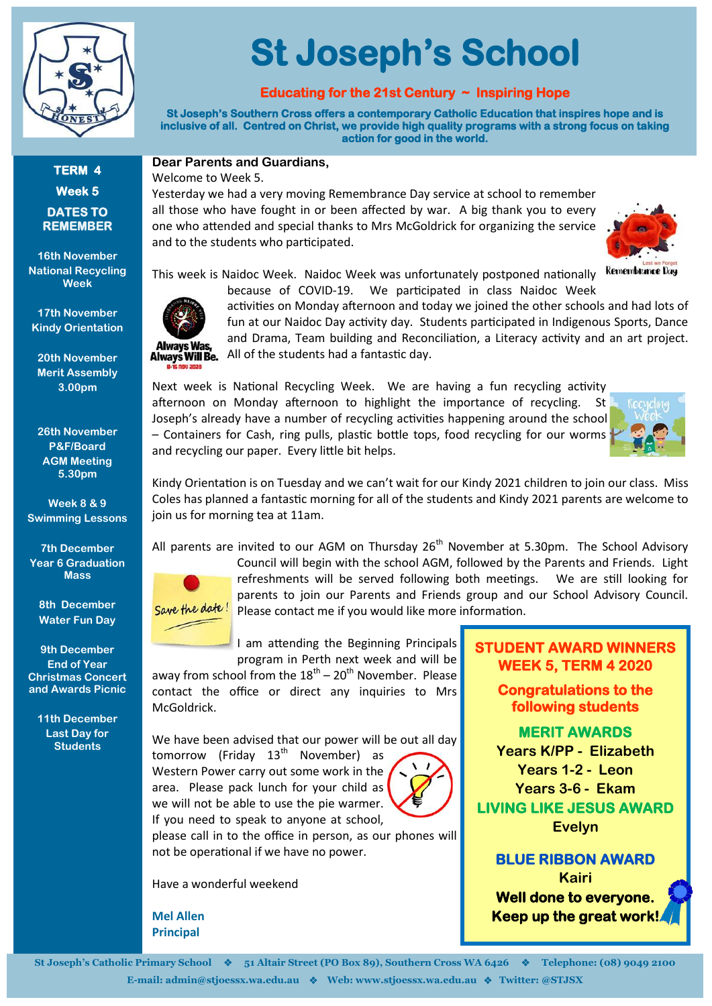

# **St Joseph's School**

#### **Educating for the 21st Century ~ Inspiring Hope**

**St Joseph's Southern Cross offers a contemporary Catholic Education that inspires hope and is inclusive of all. Centred on Christ, we provide high quality programs with a strong focus on taking action for good in the world.** 

**TERM 4 Week 5 DATES TO REMEMBER**

**16th November National Recycling Week**

**17th November Kindy Orientation** 

**20th November Merit Assembly 3.00pm**

**26th November P&F/Board AGM Meeting 5.30pm**

**Week 8 & 9 Swimming Lessons** 

**7th December Year 6 Graduation Mass**

> **8th December Water Fun Day**

**9th December End of Year Christmas Concert and Awards Picnic**

**11th December Last Day for Students**



Yesterday we had a very moving Remembrance Day service at school to remember all those who have fought in or been affected by war. A big thank you to every one who attended and special thanks to Mrs McGoldrick for organizing the service and to the students who participated.



This week is Naidoc Week. Naidoc Week was unfortunately postponed nationally kemembrance Day



because of COVID-19. We participated in class Naidoc Week activities on Monday afternoon and today we joined the other schools and had lots of



 $\overline{\phantom{a}}$ 

fun at our Naidoc Day activity day. Students participated in Indigenous Sports, Dance and Drama, Team building and Reconciliation, a Literacy activity and an art project. All of the students had a fantastic day.

Next week is National Recycling Week. We are having a fun recycling activity afternoon on Monday afternoon to highlight the importance of recycling. St Joseph's already have a number of recycling activities happening around the school – Containers for Cash, ring pulls, plastic bottle tops, food recycling for our worms and recycling our paper. Every little bit helps.



Kindy Orientation is on Tuesday and we can't wait for our Kindy 2021 children to join our class. Miss Coles has planned a fantastic morning for all of the students and Kindy 2021 parents are welcome to join us for morning tea at 11am.

All parents are invited to our AGM on Thursday  $26<sup>th</sup>$  November at 5.30pm. The School Advisory Council will begin with the school AGM, followed by the Parents and Friends. Light refreshments will be served following both meetings. We are still looking for parents to join our Parents and Friends group and our School Advisory Council. Save the date! Please contact me if you would like more information.

> I am attending the Beginning Principals program in Perth next week and will be

away from school from the  $18^{th} - 20^{th}$  November. Please contact the office or direct any inquiries to Mrs McGoldrick.

We have been advised that our power will be out all day tomorrow (Friday  $13<sup>th</sup>$  November) as Western Power carry out some work in the

area. Please pack lunch for your child as we will not be able to use the pie warmer. If you need to speak to anyone at school,



please call in to the office in person, as our phones will not be operational if we have no power.

Have a wonderful weekend

**Mel Allen Principal**

#### **STUDENT AWARD WINNERS WEEK 5, TERM 4 2020**

**Congratulations to the following students** 

**MERIT AWARDS Years K/PP - Elizabeth Years 1-2 - Leon Years 3-6 - Ekam LIVING LIKE JESUS AWARD Evelyn** 

## **BLUE RIBBON AWARD**

**Kairi Well done to everyone. Keep up the great work!**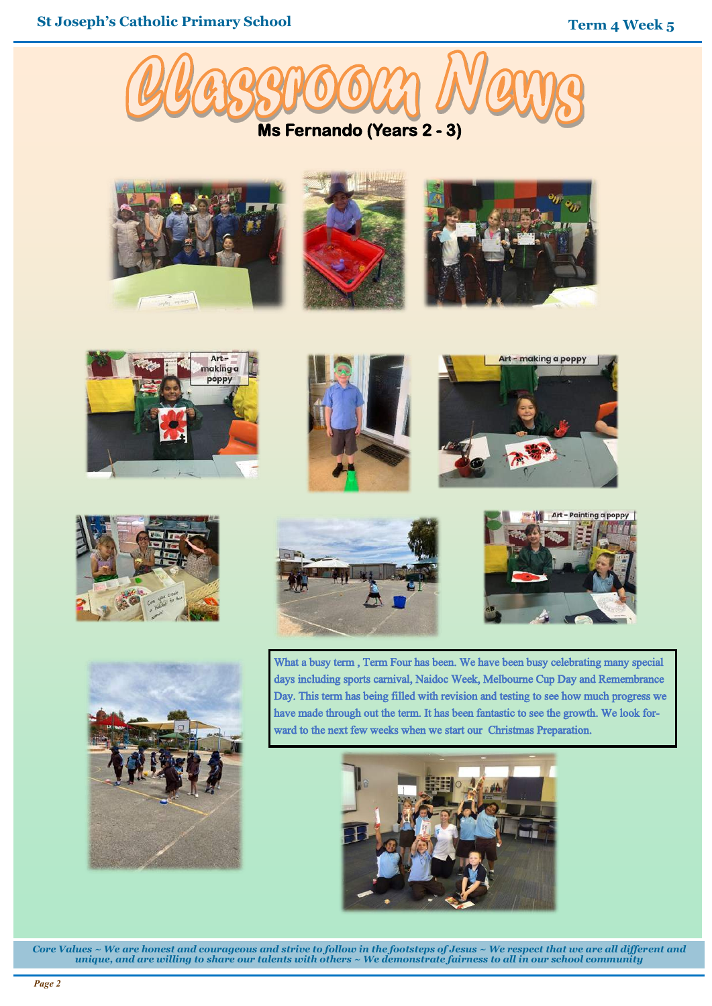





















What a busy term , Term Four has been. We have been busy celebrating many special days including sports carnival, Naidoc Week, Melbourne Cup Day and Remembrance Day. This term has being filled with revision and testing to see how much progress we have made through out the term. It has been fantastic to see the growth. We look forward to the next few weeks when we start our Christmas Preparation.



*Core Values ~ We are honest and courageous and strive to follow in the footsteps of Jesus ~ We respect that we are all different and unique, and are willing to share our talents with others ~ We demonstrate fairness to all in our school community*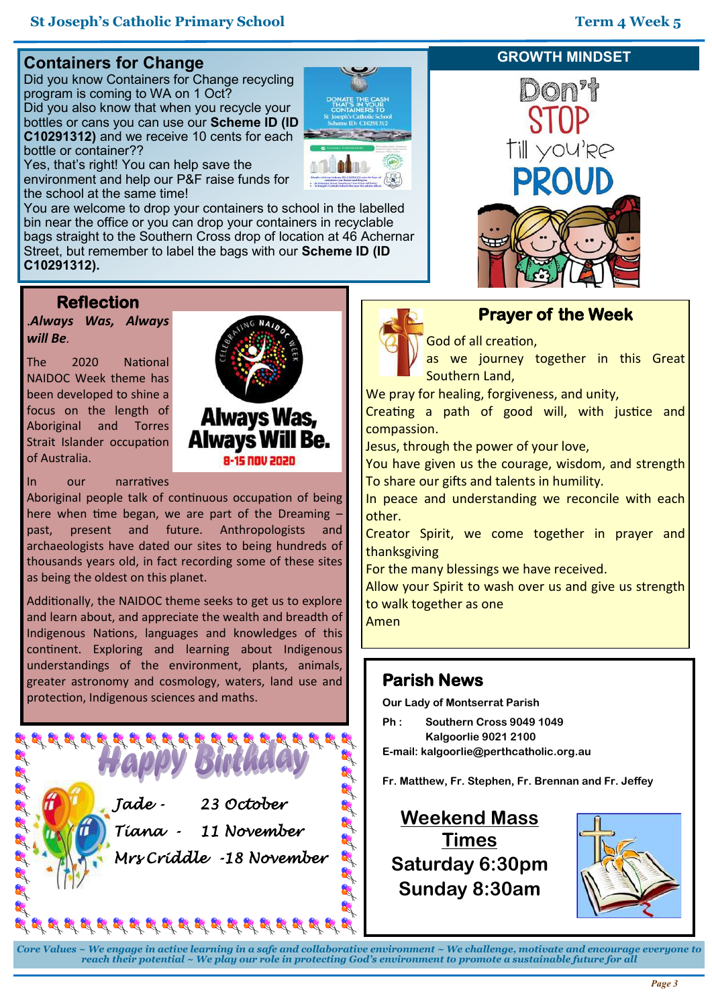## **Containers for Change**

Did you know Containers for Change recycling program is coming to WA on 1 Oct? Did you also know that when you recycle your bottles or cans you can use our **Scheme ID (ID C10291312)** and we receive 10 cents for each bottle or container??



Yes, that's right! You can help save the environment and help our P&F raise funds for the school at the same time!

You are welcome to drop your containers to school in the labelled bin near the office or you can drop your containers in recyclable bags straight to the Southern Cross drop of location at 46 Achernar Street, but remember to label the bags with our **Scheme ID (ID C10291312).**

## **Reflection**

**.***Always Was, Always will Be.* 

The 2020 National NAIDOC Week theme has been developed to shine a focus on the length of Aboriginal and Torres Strait Islander occupation of Australia.



**8-15 000 2020** 



Aboriginal people talk of continuous occupation of being here when time began, we are part of the Dreaming – past, present and future. Anthropologists and archaeologists have dated our sites to being hundreds of thousands years old, in fact recording some of these sites as being the oldest on this planet.

Additionally, the NAIDOC theme seeks to get us to explore and learn about, and appreciate the wealth and breadth of Indigenous Nations, languages and knowledges of this continent. Exploring and learning about Indigenous understandings of the environment, plants, animals, greater astronomy and cosmology, waters, land use and protection, Indigenous sciences and maths.

> *Jade - 23 October Tiana - 11 November Mrs Criddle -18 November*

**REAR REAR REAR REAR REAR REAR** 

#### **GROWTH MINDSET**



## **Prayer of the Week**

God of all creation,

as we journey together in this Great Southern Land,

We pray for healing, forgiveness, and unity,

Creating a path of good will, with justice and compassion.

Jesus, through the power of your love,

You have given us the courage, wisdom, and strength To share our gifts and talents in humility.

In peace and understanding we reconcile with each other.

Creator Spirit, we come together in prayer and thanksgiving

For the many blessings we have received.

Allow your Spirit to wash over us and give us strength to walk together as one

Amen

## **Parish News**

**Our Lady of Montserrat Parish**

**Ph : Southern Cross 9049 1049 Kalgoorlie 9021 2100**

**E-mail: kalgoorlie@perthcatholic.org.au** 

**Fr. Matthew, Fr. Stephen, Fr. Brennan and Fr. Jeffey**

**Weekend Mass Times Saturday 6:30pm Sunday 8:30am** 



*Core Values ~ We engage in active learning in a safe and collaborative environment ~ We challenge, motivate and encourage everyone to reach their potential ~ We play our role in protecting God's environment to promote a sustainable future for all*